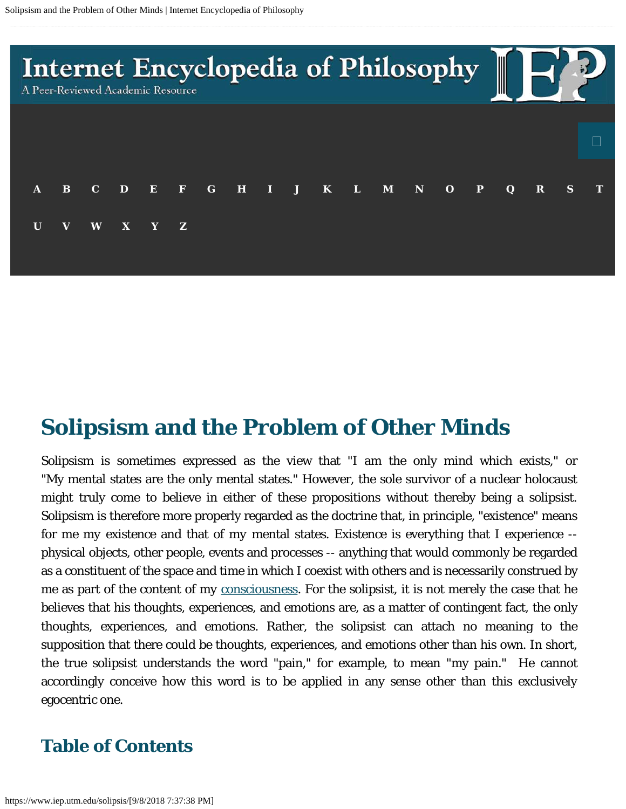

# **Solipsism and the Problem of Other Minds**

Solipsism is sometimes expressed as the view that "I am the only mind which exists," or "My mental states are the only mental states." However, the sole survivor of a nuclear holocaust might truly come to believe in either of these propositions without thereby being a solipsist. Solipsism is therefore more properly regarded as the doctrine that, in principle, "existence" means for me *my* existence and that of *my* mental states. Existence is everything that I experience - physical objects, other people, events and processes -- anything that would commonly be regarded as a constituent of the space and time in which I coexist with others and is necessarily construed by me as part of the content of *my* [consciousness](https://www.iep.utm.edu/consciou/). For the solipsist, it is not merely the case that he believes that his thoughts, experiences, and emotions are, as a matter of contingent fact, the only thoughts, experiences, and emotions. Rather, the solipsist can attach no meaning to the supposition that there could be thoughts, experiences, and emotions other than his own. In short, the true solipsist understands the word "pain," for example, to mean "my pain." He cannot accordingly conceive how this word is to be applied in any sense other than this exclusively egocentric one.

### **Table of Contents**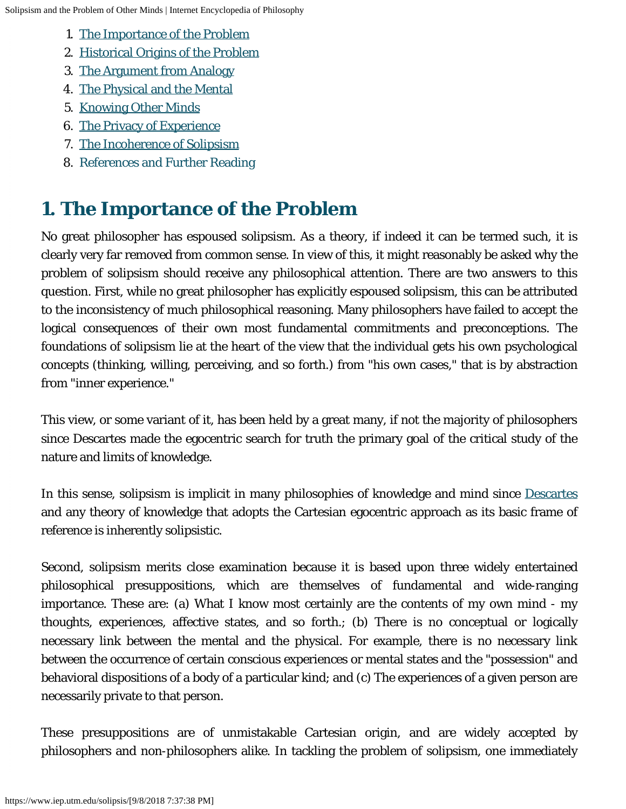- 1. [The Importance of the Problem](#page-1-0)
- 2. [Historical Origins of the Problem](#page-2-0)
- 3. [The Argument from Analogy](#page-3-0)
- 4. [The Physical and the Mental](#page-5-0)
- 5. [Knowing Other Minds](#page-6-0)
- 6. [The Privacy of Experience](#page-8-0)
- 7. [The Incoherence of Solipsism](#page-10-0)
- 8. [References and Further Reading](#page-10-1)

# <span id="page-1-0"></span>**1. The Importance of the Problem**

No great philosopher has espoused solipsism. As a theory, if indeed it can be termed such, it is clearly very far removed from common sense. In view of this, it might reasonably be asked why the problem of solipsism should receive any philosophical attention. There are two answers to this question. First, while no great philosopher has explicitly espoused solipsism, this can be attributed to the inconsistency of much philosophical reasoning. Many philosophers have failed to accept the logical consequences of their own most fundamental commitments and preconceptions. The foundations of solipsism lie at the heart of the view that the individual gets his own psychological concepts (thinking, willing, perceiving, and so forth.) from "his own cases," that is by abstraction from "inner experience."

This view, or some variant of it, has been held by a great many, if not the majority of philosophers since Descartes made the egocentric search for truth the primary goal of the critical study of the nature and limits of knowledge.

In this sense, solipsism is implicit in many philosophies of knowledge and mind since [Descartes](https://www.iep.utm.edu/descmind/) and any theory of knowledge that adopts the Cartesian egocentric approach as its basic frame of reference is inherently solipsistic.

Second, solipsism merits close examination because it is based upon three widely entertained philosophical presuppositions, which are themselves of fundamental and wide-ranging importance. These are: (a) What I know most certainly are the contents of my own mind - my thoughts, experiences, affective states, and so forth.; (b) There is no conceptual or logically necessary link between the mental and the physical. For example, there is no necessary link between the occurrence of certain conscious experiences or mental states and the "possession" and behavioral dispositions of a body of a particular kind; and (c) The experiences of a given person are necessarily private to that person.

These presuppositions are of unmistakable Cartesian origin, and are widely accepted by philosophers and non-philosophers alike. In tackling the problem of solipsism, one immediately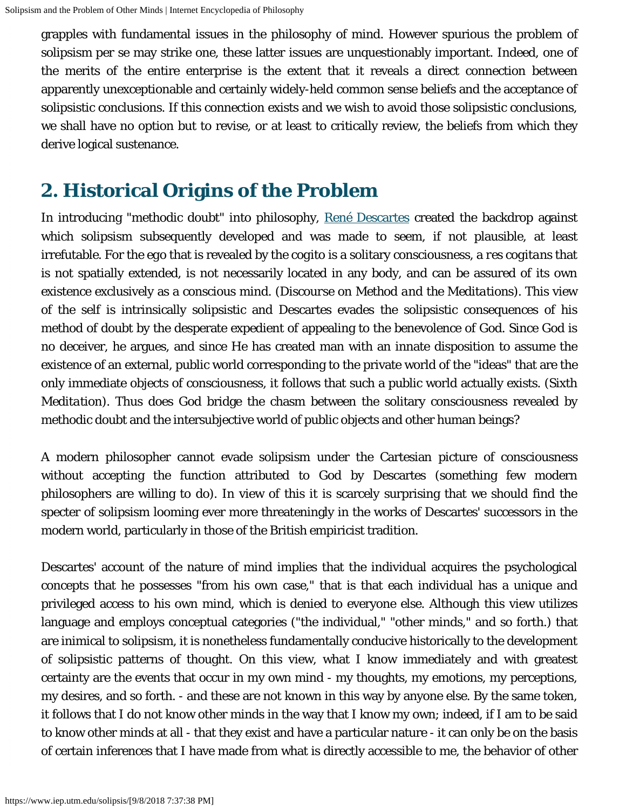grapples with fundamental issues in the philosophy of mind. However spurious the problem of solipsism *per se* may strike one, these latter issues are unquestionably important. Indeed, one of the merits of the entire enterprise is the extent that it reveals a direct connection between apparently unexceptionable and certainly widely-held common sense beliefs and the acceptance of solipsistic conclusions. If this connection exists and we wish to avoid those solipsistic conclusions, we shall have no option but to revise, or at least to critically review, the beliefs from which they derive logical sustenance.

# <span id="page-2-0"></span>**2. Historical Origins of the Problem**

In introducing "methodic doubt" into philosophy, [René Descartes](https://www.iep.utm.edu/descarte/) created the backdrop against which solipsism subsequently developed and was made to seem, if not plausible, at least irrefutable. For the *ego* that is revealed by the *cogito* is a solitary consciousness, a *res cogitans* that is not spatially extended, is not necessarily located in any body, and can be assured of its own existence exclusively as a conscious mind. (*Discourse on Method and the Meditations*). This view of the self is intrinsically solipsistic and Descartes evades the solipsistic consequences of his method of doubt by the desperate expedient of appealing to the benevolence of God. Since God is no deceiver, he argues, and since He has created man with an innate disposition to assume the existence of an external, public world corresponding to the private world of the "ideas" that are the only immediate objects of consciousness, it follows that such a public world actually exists. (*Sixth Meditation*). Thus does God bridge the chasm between the solitary consciousness revealed by methodic doubt and the intersubjective world of public objects and other human beings?

A modern philosopher cannot evade solipsism under the Cartesian picture of consciousness without accepting the function attributed to God by Descartes (something few modern philosophers are willing to do). In view of this it is scarcely surprising that we should find the specter of solipsism looming ever more threateningly in the works of Descartes' successors in the modern world, particularly in those of the British empiricist tradition.

Descartes' account of the nature of mind implies that the individual acquires the psychological concepts that he possesses "from his own case," that is that each individual has a unique and privileged access to his own mind, which is denied to everyone else. Although this view utilizes language and employs conceptual categories ("the individual," "other minds," and so forth.) that are inimical to solipsism, it is nonetheless fundamentally conducive historically to the development of solipsistic patterns of thought. On this view, what I know immediately and with greatest certainty are the events that occur in my own mind - my thoughts, my emotions, my perceptions, my desires, and so forth. - and these are not known in this way by anyone else. By the same token, it follows that I do not know other minds in the way that I know my own; indeed, if I am to be said to know other minds at all - that they exist and have a particular nature - it can only be on the basis of certain inferences that I have made from what is directly accessible to me, the behavior of other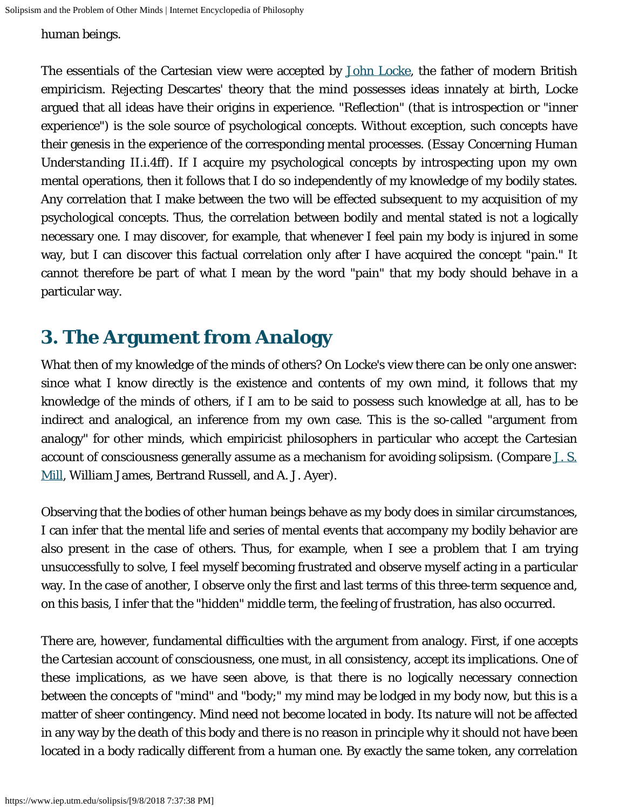#### human beings.

The essentials of the Cartesian view were accepted by [John Locke](https://www.iep.utm.edu/locke/), the father of modern British empiricism. Rejecting Descartes' theory that the mind possesses ideas innately at birth, Locke argued that all ideas have their origins in experience. "Reflection" (that is introspection or "inner experience") is the sole source of psychological concepts. Without exception, such concepts have their genesis in the experience of the corresponding mental processes. (*Essay Concerning Human Understanding* II.i.4ff). If I acquire my psychological concepts by introspecting upon my own mental operations, then it follows that I do so independently of my knowledge of my bodily states. Any correlation that I make between the two will be effected subsequent to my acquisition of my psychological concepts. Thus, the correlation between bodily and mental stated is not a logically necessary one. I may discover, for example, that whenever I feel pain my body is injured in some way, but I can discover this factual correlation only after I have acquired the concept "pain." It cannot therefore be part of what I mean by the word "pain" that my body should behave in a particular way.

## <span id="page-3-0"></span>**3. The Argument from Analogy**

What then of my knowledge of the minds of others? On Locke's view there can be only one answer: since what I know directly is the existence and contents of my own mind, it follows that my knowledge of the minds of others, if I am to be said to possess such knowledge at all, has to be indirect and analogical, an inference from my own case. This is the so-called "argument from analogy" for other minds, which empiricist philosophers in particular who accept the Cartesian account of consciousness generally assume as a mechanism for avoiding solipsism. (Compare [J. S.](https://www.iep.utm.edu/milljs/) [Mill](https://www.iep.utm.edu/milljs/), William James, Bertrand Russell, and A. J. Ayer).

Observing that the bodies of other human beings behave as my body does in similar circumstances, I can infer that the mental life and series of mental events that accompany my bodily behavior are also present in the case of others. Thus, for example, when I see a problem that I am trying unsuccessfully to solve, I feel myself becoming frustrated and observe myself acting in a particular way. In the case of another, I observe only the first and last terms of this three-term sequence and, on this basis, I infer that the "hidden" middle term, the feeling of frustration, has also occurred.

There are, however, fundamental difficulties with the argument from analogy. First, if one accepts the Cartesian account of consciousness, one must, in all consistency, accept its implications. One of these implications, as we have seen above, is that there is no logically necessary connection between the concepts of "mind" and "body;" my mind may be lodged in my body now, but this is a matter of sheer contingency. Mind need not become located in body. Its nature will not be affected in any way by the death of this body and there is no reason in principle why it should not have been located in a body radically different from a human one. By exactly the same token, any correlation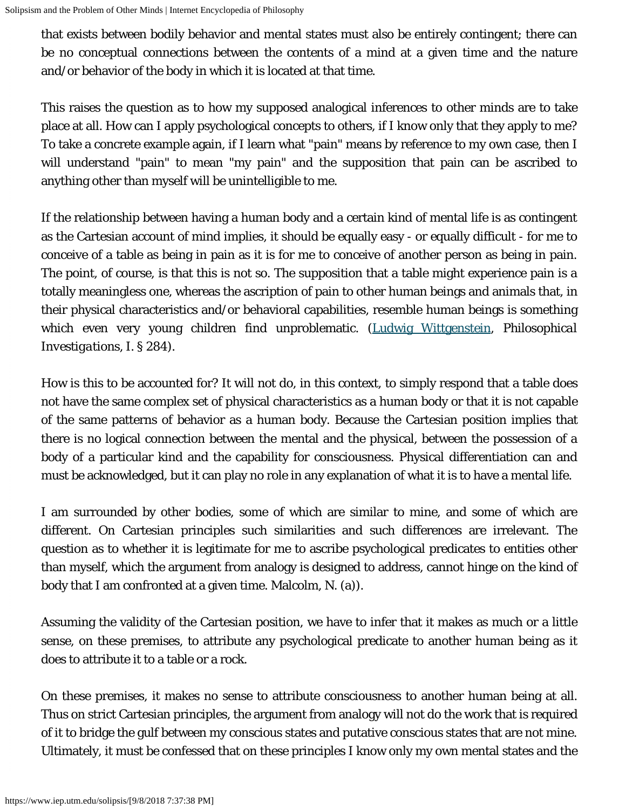that exists between bodily behavior and mental states must also be entirely contingent; there can be no conceptual connections between the contents of a mind at a given time and the nature and/or behavior of the body in which it is located at that time.

This raises the question as to how my supposed analogical inferences to other minds are to take place at all. How can I apply psychological concepts to others, if I know only that they apply to me? To take a concrete example again, if I learn what "pain" means by reference to my own case, then I will understand "pain" to mean "my pain" and the supposition that pain can be ascribed to anything other than myself will be unintelligible to me.

If the relationship between having a human body and a certain kind of mental life is as contingent as the Cartesian account of mind implies, it should be equally easy - or equally difficult - for me to conceive of a table as being in pain as it is for me to conceive of another person as being in pain. The point, of course, is that this is not so. The supposition that a table might experience pain is a totally meaningless one, whereas the ascription of pain to other human beings and animals that, in their physical characteristics and/or behavioral capabilities, resemble human beings is something which even very young children find unproblematic. [\(Ludwig Wittgenstein](https://www.iep.utm.edu/wittgens/), *Philosophical Investigations*, I. § 284).

How is this to be accounted for? It will not do, in this context, to simply respond that a table does not have the same complex set of physical characteristics as a human body or that it is not capable of the same patterns of behavior as a human body. Because the Cartesian position implies that there is no logical connection between the mental and the physical, between the possession of a body of a particular kind and the capability for consciousness. Physical differentiation can and must be acknowledged, but it can play no role in any explanation of what it is to have a mental life.

I am surrounded by other bodies, some of which are similar to mine, and some of which are different. On Cartesian principles such similarities and such differences are irrelevant. The question as to whether it is legitimate for me to ascribe psychological predicates to entities other than myself, which the argument from analogy is designed to address, cannot hinge on the kind of body that I am confronted at a given time. Malcolm, N. (a)).

Assuming the validity of the Cartesian position, we have to infer that it makes as much or a little sense, on these premises, to attribute any psychological predicate to another human being as it does to attribute it to a table or a rock.

On these premises, it makes no sense to attribute consciousness to another human being at all. Thus on strict Cartesian principles, the argument from analogy will not do the work that is required of it to bridge the gulf between my conscious states and putative conscious states that are not mine. Ultimately, it must be confessed that on these principles I know only my own mental states and the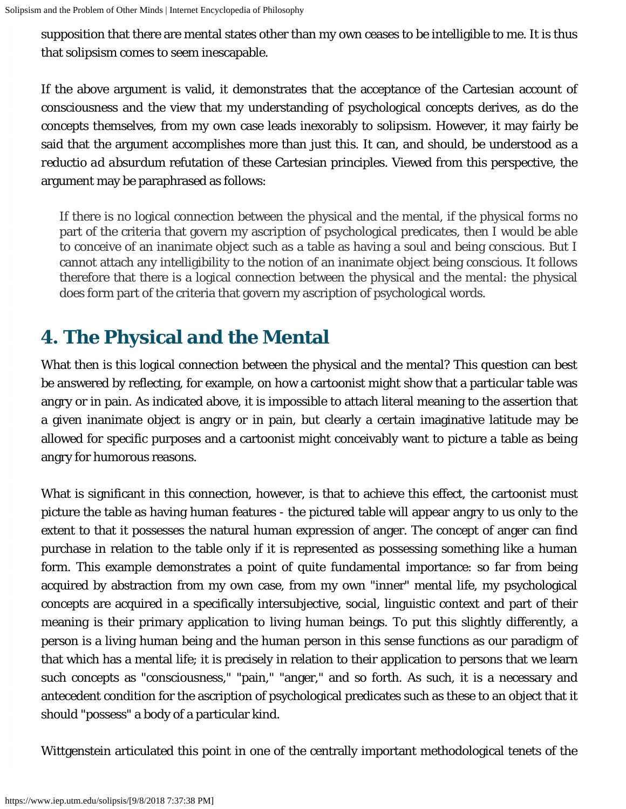supposition that there are mental states other than my own ceases to be intelligible to me. It is thus that solipsism comes to seem inescapable.

If the above argument is valid, it demonstrates that the acceptance of the Cartesian account of consciousness and the view that my understanding of psychological concepts derives, as do the concepts themselves, from my own case leads inexorably to solipsism. However, it may fairly be said that the argument accomplishes more than just this. It can, and should, be understood as a *reductio ad absurdum* refutation of these Cartesian principles. Viewed from this perspective, the argument may be paraphrased as follows:

If there is no logical connection between the physical and the mental, if the physical forms no part of the criteria that govern my ascription of psychological predicates, then I would be able to conceive of an inanimate object such as a table as having a soul and being conscious. But I cannot attach any intelligibility to the notion of an inanimate object being conscious. It follows therefore that there is a logical connection between the physical and the mental: the physical does form part of the criteria that govern my ascription of psychological words.

# <span id="page-5-0"></span>**4. The Physical and the Mental**

What then is this logical connection between the physical and the mental? This question can best be answered by reflecting, for example, on how a cartoonist might show that a particular table was angry or in pain. As indicated above, it is impossible to attach literal meaning to the assertion that a given inanimate object is angry or in pain, but clearly a certain imaginative latitude may be allowed for specific purposes and a cartoonist might conceivably want to picture a table as being angry for humorous reasons.

What is significant in this connection, however, is that to achieve this effect, the cartoonist must picture the table as having human features - the pictured table will appear angry to us only to the extent to that it possesses the natural human expression of anger. The concept of anger can find purchase in relation to the table only if it is represented as possessing something like a human form. This example demonstrates a point of quite fundamental importance: so far from being acquired by abstraction from my own case, from my own "inner" mental life, my psychological concepts are acquired in a specifically intersubjective, social, linguistic context and part of their meaning is their primary application to living human beings. To put this slightly differently, a person is a living human being and the human person in this sense functions as our paradigm of that which has a mental life; it is precisely in relation to their application to persons that we learn such concepts as "consciousness," "pain," "anger," and so forth. As such, it is a necessary and antecedent condition for the ascription of psychological predicates such as these to an object that it should "possess" a body of a particular kind.

Wittgenstein articulated this point in one of the centrally important methodological tenets of the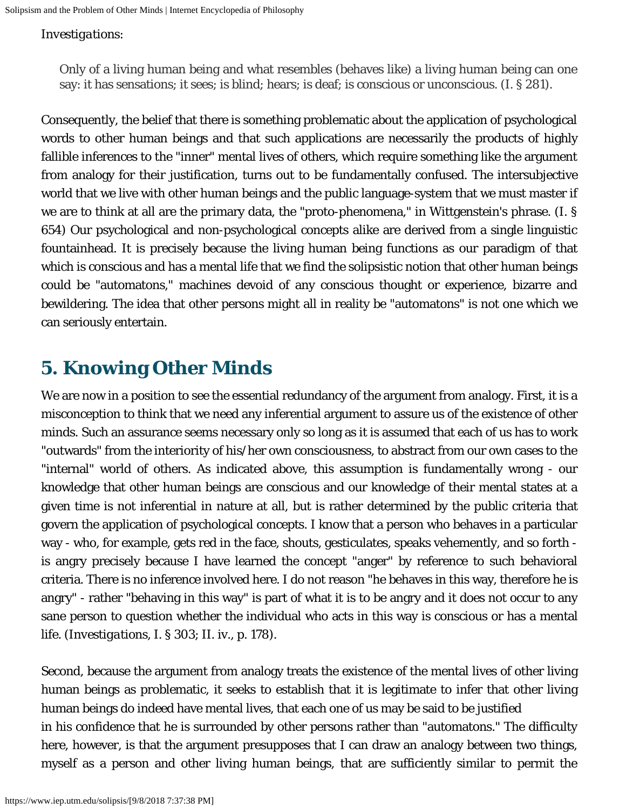#### *Investigations*:

Only of a living human being and what resembles (behaves like) a living human being can one say: it has sensations; it sees; is blind; hears; is deaf; is conscious or unconscious. (I. § 281).

Consequently, the belief that there is something problematic about the application of psychological words to other human beings and that such applications are necessarily the products of highly fallible inferences to the "inner" mental lives of others, which require something like the argument from analogy for their justification, turns out to be fundamentally confused. The intersubjective world that we live with other human beings and the public language-system that we must master if we are to think at all are the primary data, the "proto-phenomena," in Wittgenstein's phrase. (I. § 654) Our psychological and non-psychological concepts alike are derived from a single linguistic fountainhead. It is precisely because the living human being functions as our paradigm of that which is conscious and has a mental life that we find the solipsistic notion that other human beings could be "automatons," machines devoid of any conscious thought or experience, bizarre and bewildering. The idea that other persons might all in reality be "automatons" is not one which we can seriously entertain.

## <span id="page-6-0"></span>**5. Knowing Other Minds**

We are now in a position to see the essential redundancy of the argument from analogy. First, it is a misconception to think that we need any inferential argument to assure us of the existence of other minds. Such an assurance seems necessary only so long as it is assumed that each of us has to work "outwards" from the interiority of his/her own consciousness, to abstract from our own cases to the "internal" world of others. As indicated above, this assumption is fundamentally wrong - our knowledge that other human beings are conscious and our knowledge of their mental states at a given time is not inferential in nature at all, but is rather determined by the public criteria that govern the application of psychological concepts. I know that a person who behaves in a particular way - who, for example, gets red in the face, shouts, gesticulates, speaks vehemently, and so forth is angry precisely because I have learned the concept "anger" by reference to such behavioral criteria. There is no inference involved here. I do not reason "he behaves in this way, therefore he is angry" - rather "behaving in this way" is part of what it is to be angry and it does not occur to any sane person to question whether the individual who acts in this way is conscious or has a mental life. (*Investigations*, I. § 303; II. iv., p. 178).

Second, because the argument from analogy treats the existence of the mental lives of other living human beings as problematic, it seeks to establish that it is legitimate to infer that other living human beings do indeed have mental lives, that each one of us may be said to be justified in his confidence that he is surrounded by other persons rather than "automatons." The difficulty here, however, is that the argument presupposes that I can draw an analogy between two things, myself as a person and other living human beings, that are sufficiently similar to permit the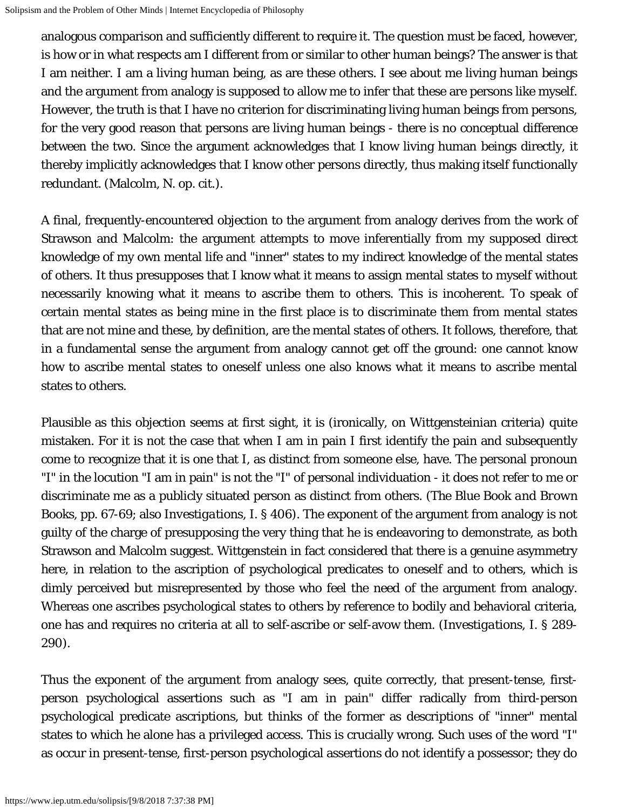analogous comparison and sufficiently different to require it. The question must be faced, however, is how or in what respects am I different from or similar to other human beings? The answer is that I am neither. I am a living human being, as are these others. I see about me living human beings and the argument from analogy is supposed to allow me to infer that these are persons like myself. However, the truth is that I have no criterion for discriminating living human beings from persons, for the very good reason that persons are living human beings - there is no conceptual difference between the two. Since the argument acknowledges that I know living human beings directly, it thereby implicitly acknowledges that I know other persons directly, thus making itself functionally redundant. (Malcolm, N. *op. cit*.).

A final, frequently-encountered objection to the argument from analogy derives from the work of Strawson and Malcolm: the argument attempts to move inferentially from my supposed direct knowledge of my own mental life and "inner" states to my indirect knowledge of the mental states of others. It thus presupposes that I know what it means to assign mental states to myself without necessarily knowing what it means to ascribe them to others. This is incoherent. To speak of certain mental states as being mine in the first place is to discriminate them from mental states that are not mine and these, by definition, are the mental states of others. It follows, therefore, that in a fundamental sense the argument from analogy cannot get off the ground: one cannot know how to ascribe mental states to oneself unless one also knows what it means to ascribe mental states to others.

Plausible as this objection seems at first sight, it is (ironically, on Wittgensteinian criteria) quite mistaken. For it is not the case that when I am in pain I first identify the pain and subsequently come to recognize that it is one that I, as distinct from someone else, have. The personal pronoun "I" in the locution "I am in pain" is not the "I" of personal individuation - it does not refer to me or discriminate me as a publicly situated person as distinct from others. (*The Blue Book and Brown Books*, pp. 67-69; also *Investigations*, I. § 406). The exponent of the argument from analogy is not guilty of the charge of presupposing the very thing that he is endeavoring to demonstrate, as both Strawson and Malcolm suggest. Wittgenstein in fact considered that there is a genuine asymmetry here, in relation to the ascription of psychological predicates to oneself and to others, which is dimly perceived but misrepresented by those who feel the need of the argument from analogy. Whereas one ascribes psychological states to others by reference to bodily and behavioral criteria, one has and requires no criteria at all to self-ascribe or self-avow them. (*Investigations*, I. § 289- 290).

Thus the exponent of the argument from analogy sees, quite correctly, that present-tense, firstperson psychological assertions such as "I am in pain" differ radically from third-person psychological predicate ascriptions, but thinks of the former as descriptions of "inner" mental states to which he alone has a privileged access. This is crucially wrong. Such uses of the word "I" as occur in present-tense, first-person psychological assertions do not identify a possessor; they do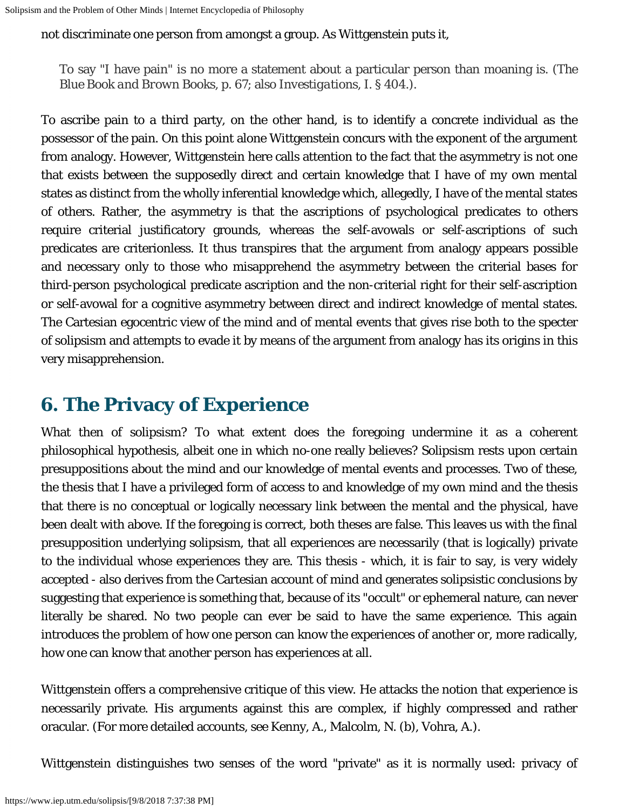not discriminate one person from amongst a group. As Wittgenstein puts it,

To say "I have pain" is no more a statement about a particular person than moaning is. (*The Blue Book and Brown Books,* p. 67; also *Investigations,* I. § 404.).

To ascribe pain to a third party, on the other hand, is to identify a concrete individual as the possessor of the pain. On this point alone Wittgenstein concurs with the exponent of the argument from analogy. However, Wittgenstein here calls attention to the fact that the asymmetry is not one that exists between the supposedly direct and certain knowledge that I have of my own mental states as distinct from the wholly inferential knowledge which, allegedly, I have of the mental states of others. Rather, the asymmetry is that the ascriptions of psychological predicates to others require criterial justificatory grounds, whereas the self-avowals or self-ascriptions of such predicates are criterionless. It thus transpires that the argument from analogy appears possible and necessary only to those who misapprehend the asymmetry between the criterial bases for third-person psychological predicate ascription and the non-criterial right for their self-ascription or self-avowal for a cognitive asymmetry between direct and indirect knowledge of mental states. The Cartesian egocentric view of the mind and of mental events that gives rise both to the specter of solipsism and attempts to evade it by means of the argument from analogy has its origins in this very misapprehension.

## <span id="page-8-0"></span>**6. The Privacy of Experience**

What then of solipsism? To what extent does the foregoing undermine it as a coherent philosophical hypothesis, albeit one in which no-one really believes? Solipsism rests upon certain presuppositions about the mind and our knowledge of mental events and processes. Two of these, the thesis that I have a privileged form of access to and knowledge of my own mind and the thesis that there is no conceptual or logically necessary link between the mental and the physical, have been dealt with above. If the foregoing is correct, both theses are false. This leaves us with the final presupposition underlying solipsism, that all experiences are necessarily (that is logically) private to the individual whose experiences they are. This thesis - which, it is fair to say, is very widely accepted - also derives from the Cartesian account of mind and generates solipsistic conclusions by suggesting that experience is something that, because of its "occult" or ephemeral nature, can never literally be shared. No two people can ever be said to have the same experience. This again introduces the problem of how one person can know the experiences of another or, more radically, how one can know that another person has experiences at all.

Wittgenstein offers a comprehensive critique of this view. He attacks the notion that experience is necessarily private. His arguments against this are complex, if highly compressed and rather oracular. (For more detailed accounts, see Kenny, A., Malcolm, N. (b), Vohra, A.).

Wittgenstein distinguishes two senses of the word "private" as it is normally used: privacy of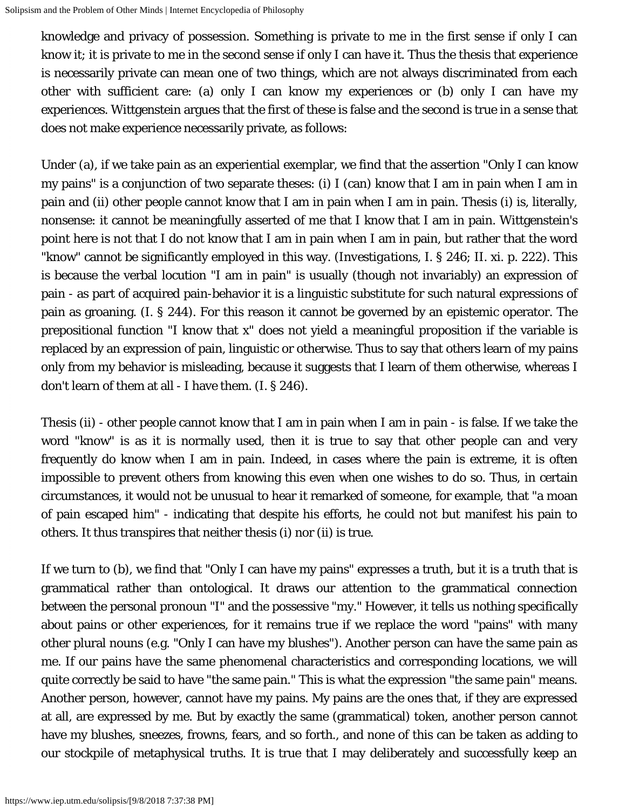knowledge and privacy of possession. Something is private to me in the first sense if only I can know it; it is private to me in the second sense if only I can have it. Thus the thesis that experience is necessarily private can mean one of two things, which are not always discriminated from each other with sufficient care: (a) only I can know my experiences or (b) only I can have my experiences. Wittgenstein argues that the first of these is false and the second is true in a sense that does not make experience necessarily private, as follows:

Under (a), if we take pain as an experiential exemplar, we find that the assertion "Only I can know my pains" is a conjunction of two separate theses: (i) I (can) know that I am in pain when I am in pain and (ii) other people cannot know that I am in pain when I am in pain. Thesis (i) is, literally, nonsense: it cannot be meaningfully asserted of me that I know that I am in pain. Wittgenstein's point here is not that I do not know that I am in pain when I am in pain, but rather that the word "know" cannot be significantly employed in this way. (*Investigations,* I. § 246; II. xi. p. 222). This is because the verbal locution "I am in pain" is usually (though not invariably) an expression of pain - as part of acquired pain-behavior it is a linguistic substitute for such natural expressions of pain as groaning. (I. § 244). For this reason it cannot be governed by an epistemic operator. The prepositional function "I know that x" does not yield a meaningful proposition if the variable is replaced by an expression of pain, linguistic or otherwise. Thus to say that others learn of my pains only from my behavior is misleading, because it suggests that I learn of them otherwise, whereas I don't learn of them at all - I have them. (I. § 246).

Thesis (ii) - other people cannot know that I am in pain when I am in pain - is false. If we take the word "know" is as it is normally used, then it is true to say that other people can and very frequently do know when I am in pain. Indeed, in cases where the pain is extreme, it is often impossible to prevent others from knowing this even when one wishes to do so. Thus, in certain circumstances, it would not be unusual to hear it remarked of someone, for example, that "a moan of pain escaped him" - indicating that despite his efforts, he could not but manifest his pain to others. It thus transpires that neither thesis (i) nor (ii) is true.

If we turn to (b), we find that "Only I can have my pains" expresses a truth, but it is a truth that is grammatical rather than ontological. It draws our attention to the grammatical connection between the personal pronoun "I" and the possessive "my." However, it tells us nothing specifically about pains or other experiences, for it remains true if we replace the word "pains" with many other plural nouns (e.g. "Only I can have my blushes"). Another person can have the same pain as me. If our pains have the same phenomenal characteristics and corresponding locations, we will quite correctly be said to have "the same pain." This is what the expression "the same pain" means. Another person, however, cannot have my pains. My pains are the ones that, if they are expressed at all, are expressed by me. But by exactly the same (grammatical) token, another person cannot have my blushes, sneezes, frowns, fears, and so forth., and none of this can be taken as adding to our stockpile of metaphysical truths. It is true that I may deliberately and successfully keep an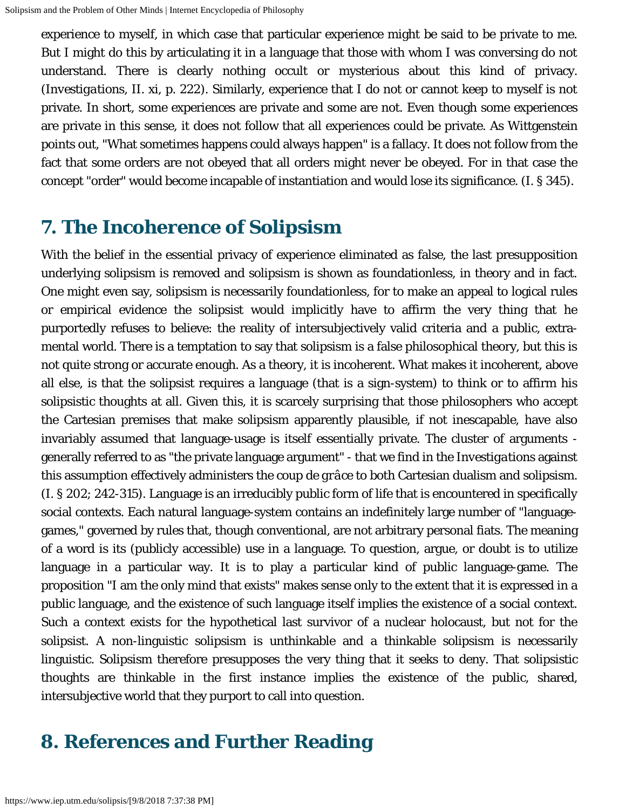experience to myself, in which case that particular experience might be said to be private to me. But I might do this by articulating it in a language that those with whom I was conversing do not understand. There is clearly nothing occult or mysterious about this kind of privacy. (*Investigations*, II. xi, p. 222). Similarly, experience that I do not or cannot keep to myself is not private. In short, some experiences are private and some are not. Even though some experiences are private in this sense, it does not follow that all experiences could be private. As Wittgenstein points out, "What sometimes happens could always happen" is a fallacy. It does not follow from the fact that some orders are not obeyed that all orders might never be obeyed. For in that case the concept "order" would become incapable of instantiation and would lose its significance. (I. § 345).

### <span id="page-10-0"></span>**7. The Incoherence of Solipsism**

With the belief in the essential privacy of experience eliminated as false, the last presupposition underlying solipsism is removed and solipsism is shown as foundationless, in theory and in fact. One might even say, solipsism is necessarily foundationless, for to make an appeal to logical rules or empirical evidence the solipsist would implicitly have to affirm the very thing that he purportedly refuses to believe: the reality of intersubjectively valid criteria and a public, extramental world. There is a temptation to say that solipsism is a false philosophical theory, but this is not quite strong or accurate enough. As a theory, it is incoherent. What makes it incoherent, above all else, is that the solipsist requires a language (that is a sign-system) to think or to affirm his solipsistic thoughts at all. Given this, it is scarcely surprising that those philosophers who accept the Cartesian premises that make solipsism apparently plausible, if not inescapable, have also invariably assumed that language-usage is itself essentially private. The cluster of arguments generally referred to as "the private language argument" - that we find in the *Investigations* against this assumption effectively administers the *coup de grâce* to both Cartesian dualism and solipsism. (I. § 202; 242-315). Language is an irreducibly public form of life that is encountered in specifically social contexts. Each natural language-system contains an indefinitely large number of "languagegames," governed by rules that, though conventional, are not arbitrary personal fiats. The meaning of a word is its (publicly accessible) use in a language. To question, argue, or doubt is to utilize language in a particular way. It is to play a particular kind of public language-game. The proposition "I am the only mind that exists" makes sense only to the extent that it is expressed in a public language, and the existence of such language itself implies the existence of a social context. Such a context exists for the hypothetical last survivor of a nuclear holocaust, but not for the solipsist. A non-linguistic solipsism is unthinkable and a thinkable solipsism is necessarily linguistic. Solipsism therefore presupposes the very thing that it seeks to deny. That solipsistic thoughts are thinkable in the first instance implies the existence of the public, shared, intersubjective world that they purport to call into question.

## <span id="page-10-1"></span>**8. References and Further Reading**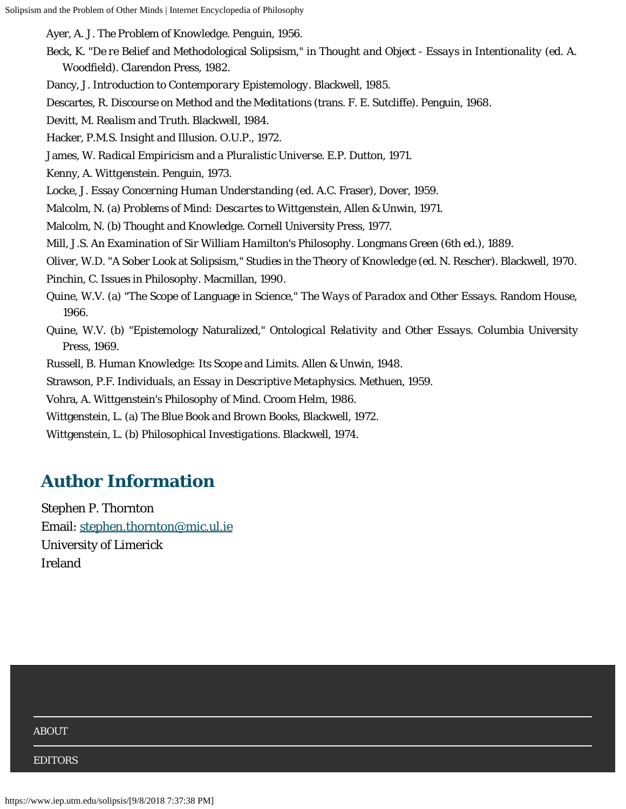Ayer, A. J. *The Problem of Knowledge*. Penguin, 1956.

Beck, K. "*De re* Belief and Methodological Solipsism," in *Thought and Object - Essays in Intentionality* (ed. A. Woodfield). Clarendon Press, 1982.

Dancy, J. *Introduction to Contemporary Epistemology.* Blackwell, 1985.

Descartes, R. *Discourse on Method and the Meditations* (trans. F. E. Sutcliffe). Penguin, 1968.

Devitt, M. *Realism and Truth.* Blackwell, 1984.

Hacker, P.M.S. *Insight and Illusion.* O.U.P., 1972.

James, W. *Radical Empiricism and a Pluralistic Universe*. E.P. Dutton, 1971.

Kenny, A. *Wittgenstein.* Penguin, 1973.

Locke, J. *Essay Concerning Human Understanding* (ed. A.C. Fraser), Dover, 1959.

Malcolm, N. (a) *Problems of Mind: Descartes to Wittgenstein*, Allen & Unwin, 1971.

Malcolm, N. (b) *Thought and Knowledge*. Cornell University Press, 1977.

Mill, J.S. *An Examination of Sir William Hamilton's Philosophy.* Longmans Green (6th ed.), 1889.

Oliver, W.D. "A Sober Look at Solipsism," *Studies in the Theory of Knowledge* (ed. N. Rescher). Blackwell, 1970. Pinchin, C. *Issues in Philosophy.* Macmillan, 1990.

Quine, W.V. (a) "The Scope of Language in Science," *The Ways of Paradox and Other Essays*. Random House, 1966.

Quine, W.V. (b) "Epistemology Naturalized," *Ontological Relativity and Other Essays*. Columbia University Press, 1969.

Russell, B. *Human Knowledge: Its Scope and Limits.* Allen & Unwin, 1948.

Strawson, P.F. *Individuals, an Essay in Descriptive Metaphysics*. Methuen, 1959.

Vohra, A. *Wittgenstein's Philosophy of Mind.* Croom Helm, 1986.

Wittgenstein, L. (a) *The Blue Book and Brown Books*, Blackwell, 1972.

Wittgenstein, L. (b) *Philosophical Investigations*. Blackwell, 1974.

### **Author Information**

Stephen P. Thornton Email: [stephen.thornton@mic.ul.ie](mailto:stephen.thornton@mic.ul.ie) University of Limerick Ireland

| <b>ABOUT</b>   |  |  |  |
|----------------|--|--|--|
| <b>EDITORS</b> |  |  |  |